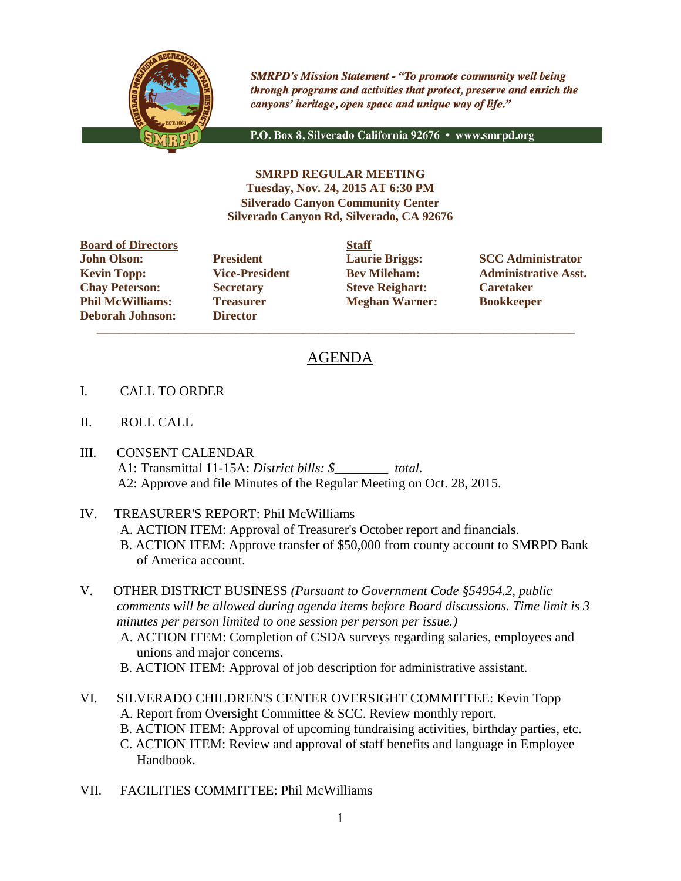

**SMRPD's Mission Statement - "To promote community well being** through programs and activities that protect, preserve and enrich the canyons' heritage, open space and unique way of life."

P.O. Box 8, Silverado California 92676 · www.smrpd.org

**SMRPD REGULAR MEETING Tuesday, Nov. 24, 2015 AT 6:30 PM Silverado Canyon Community Center Silverado Canyon Rd, Silverado, CA 92676**

**Board of Directors Staff John Olson: President Laurie Briggs: SCC Administrator Chay Peterson: Secretary Steve Reighart: Caretaker Phil McWilliams: Treasurer Meghan Warner: Bookkeeper Deborah Johnson: Director**

 $\overline{\phantom{a}}$  ,  $\overline{\phantom{a}}$  ,  $\overline{\phantom{a}}$  ,  $\overline{\phantom{a}}$  ,  $\overline{\phantom{a}}$  ,  $\overline{\phantom{a}}$  ,  $\overline{\phantom{a}}$  ,  $\overline{\phantom{a}}$  ,  $\overline{\phantom{a}}$  ,  $\overline{\phantom{a}}$  ,  $\overline{\phantom{a}}$  ,  $\overline{\phantom{a}}$  ,  $\overline{\phantom{a}}$  ,  $\overline{\phantom{a}}$  ,  $\overline{\phantom{a}}$  ,  $\overline{\phantom{a}}$ 

**Kevin Topp: Vice-President Bev Mileham: Administrative Asst.**

## AGENDA

- I. CALL TO ORDER
- II. ROLL CALL
- III. CONSENT CALENDAR A1: Transmittal 11-15A: *District bills: \$\_\_\_\_\_\_\_\_ total.* A2: Approve and file Minutes of the Regular Meeting on Oct. 28, 2015.
- IV. TREASURER'S REPORT: Phil McWilliams
	- A. ACTION ITEM: Approval of Treasurer's October report and financials.
	- B. ACTION ITEM: Approve transfer of \$50,000 from county account to SMRPD Bank of America account.
- V. OTHER DISTRICT BUSINESS *(Pursuant to Government Code §54954.2, public comments will be allowed during agenda items before Board discussions. Time limit is 3 minutes per person limited to one session per person per issue.)*
	- A. ACTION ITEM: Completion of CSDA surveys regarding salaries, employees and unions and major concerns.
	- B. ACTION ITEM: Approval of job description for administrative assistant.
- VI. SILVERADO CHILDREN'S CENTER OVERSIGHT COMMITTEE: Kevin Topp A. Report from Oversight Committee & SCC. Review monthly report. B. ACTION ITEM: Approval of upcoming fundraising activities, birthday parties, etc. C. ACTION ITEM: Review and approval of staff benefits and language in Employee Handbook.
- VII. FACILITIES COMMITTEE: Phil McWilliams